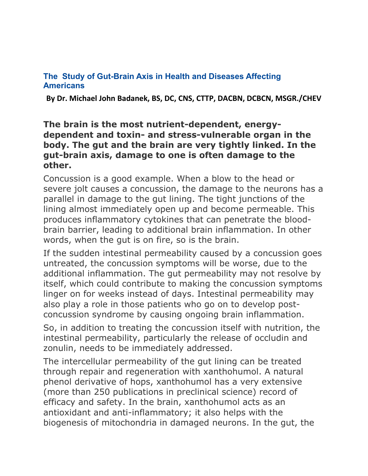## **The Study of Gut-Brain Axis in Health and Diseases Affecting Americans**

**By Dr. Michael John Badanek, BS, DC, CNS, CTTP, DACBN, DCBCN, MSGR./CHEV**

## **The brain is the most nutrient-dependent, energydependent and toxin- and stress-vulnerable organ in the body. The gut and the brain are very tightly linked. In the gut-brain axis, damage to one is often damage to the other.**

Concussion is a good example. When a blow to the head or severe jolt causes a concussion, the damage to the neurons has a parallel in damage to the gut lining. The tight junctions of the lining almost immediately open up and become permeable. This produces inflammatory cytokines that can penetrate the bloodbrain barrier, leading to additional brain inflammation. In other words, when the gut is on fire, so is the brain.

If the sudden intestinal permeability caused by a concussion goes untreated, the concussion symptoms will be worse, due to the additional inflammation. The gut permeability may not resolve by itself, which could contribute to making the concussion symptoms linger on for weeks instead of days. Intestinal permeability may also play a role in those patients who go on to develop postconcussion syndrome by causing ongoing brain inflammation.

So, in addition to treating the concussion itself with nutrition, the intestinal permeability, particularly the release of occludin and zonulin, needs to be immediately addressed.

The intercellular permeability of the gut lining can be treated through repair and regeneration with xanthohumol. A natural phenol derivative of hops, xanthohumol has a very extensive (more than 250 publications in preclinical science) record of efficacy and safety. In the brain, xanthohumol acts as an antioxidant and anti-inflammatory; it also helps with the biogenesis of mitochondria in damaged neurons. In the gut, the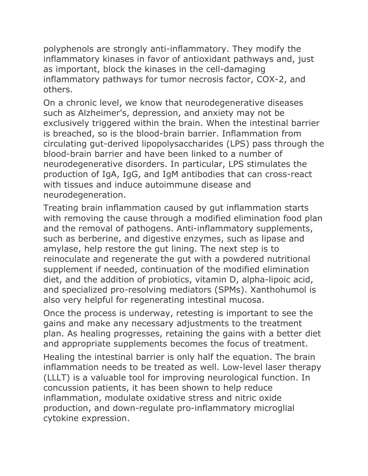polyphenols are strongly anti-inflammatory. They modify the inflammatory kinases in favor of antioxidant pathways and, just as important, block the kinases in the cell-damaging inflammatory pathways for tumor necrosis factor, COX-2, and others.

On a chronic level, we know that neurodegenerative diseases such as Alzheimer's, depression, and anxiety may not be exclusively triggered within the brain. When the intestinal barrier is breached, so is the blood-brain barrier. Inflammation from circulating gut-derived lipopolysaccharides (LPS) pass through the blood-brain barrier and have been linked to a number of neurodegenerative disorders. In particular, LPS stimulates the production of IgA, IgG, and IgM antibodies that can cross-react with tissues and induce autoimmune disease and neurodegeneration.

Treating brain inflammation caused by gut inflammation starts with removing the cause through a modified elimination food plan and the removal of pathogens. Anti-inflammatory supplements, such as berberine, and digestive enzymes, such as lipase and amylase, help restore the gut lining. The next step is to reinoculate and regenerate the gut with a powdered nutritional supplement if needed, continuation of the modified elimination diet, and the addition of probiotics, vitamin D, alpha-lipoic acid, and specialized pro-resolving mediators (SPMs). Xanthohumol is also very helpful for regenerating intestinal mucosa.

Once the process is underway, retesting is important to see the gains and make any necessary adjustments to the treatment plan. As healing progresses, retaining the gains with a better diet and appropriate supplements becomes the focus of treatment.

Healing the intestinal barrier is only half the equation. The brain inflammation needs to be treated as well. Low-level laser therapy (LLLT) is a valuable tool for improving neurological function. In concussion patients, it has been shown to help reduce inflammation, modulate oxidative stress and nitric oxide production, and down-regulate pro-inflammatory microglial cytokine expression.